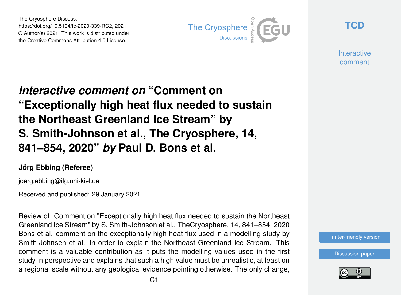The Cryosphere Discuss., https://doi.org/10.5194/tc-2020-339-RC2, 2021 © Author(s) 2021. This work is distributed under the Creative Commons Attribution 4.0 License.



**[TCD](https://tc.copernicus.org/preprints/)**

**Interactive** comment

## *Interactive comment on* **"Comment on "Exceptionally high heat flux needed to sustain the Northeast Greenland Ice Stream" by S. Smith-Johnson et al., The Cryosphere, 14, 841–854, 2020"** *by* **Paul D. Bons et al.**

## **Jörg Ebbing (Referee)**

joerg.ebbing@ifg.uni-kiel.de

Received and published: 29 January 2021

Review of: Comment on "Exceptionally high heat flux needed to sustain the Northeast Greenland Ice Stream" by S. Smith-Johnson et al., TheCryosphere, 14, 841–854, 2020 Bons et al. comment on the exceptionally high heat flux used in a modelling study by Smith-Johnsen et al. in order to explain the Northeast Greenland Ice Stream. This comment is a valuable contribution as it puts the modelling values used in the first study in perspective and explains that such a high value must be unrealistic, at least on a regional scale without any geological evidence pointing otherwise. The only change,



[Discussion paper](https://tc.copernicus.org/preprints/tc-2020-339)